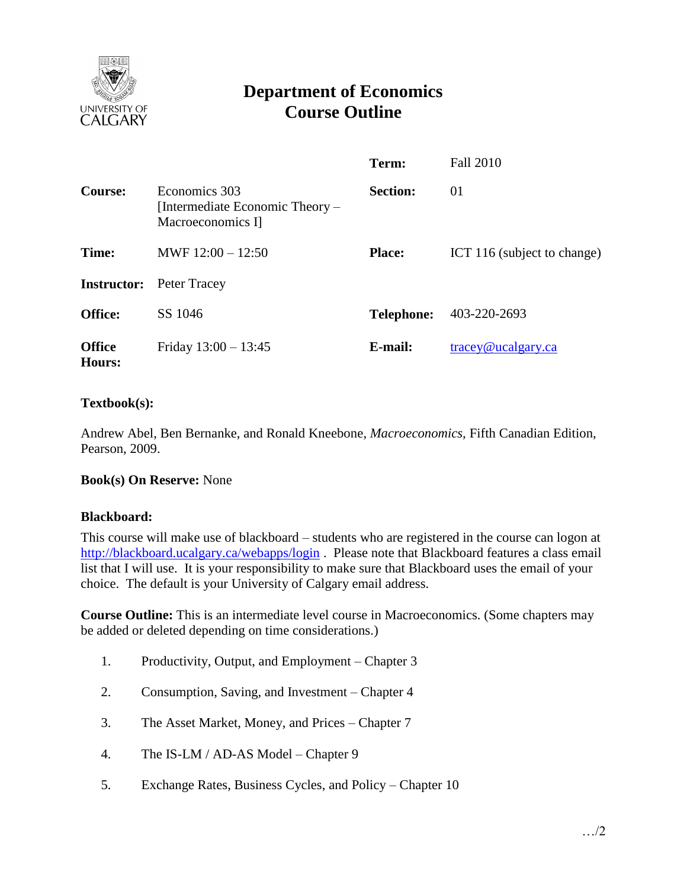

# **Department of Economics Course Outline**

|                         |                                                                       | Term:             | <b>Fall 2010</b>                         |
|-------------------------|-----------------------------------------------------------------------|-------------------|------------------------------------------|
| <b>Course:</b>          | Economics 303<br>[Intermediate Economic Theory –<br>Macroeconomics I] | <b>Section:</b>   | 01                                       |
| Time:                   | MWF $12:00 - 12:50$                                                   | <b>Place:</b>     | ICT 116 (subject to change)              |
| <b>Instructor:</b>      | Peter Tracey                                                          |                   |                                          |
| <b>Office:</b>          | SS 1046                                                               | <b>Telephone:</b> | 403-220-2693                             |
| <b>Office</b><br>Hours: | Friday $13:00 - 13:45$                                                | E-mail:           | $trace\$ <sub><i>Q</i></sub> ucalgary.ca |

## **Textbook(s):**

Andrew Abel, Ben Bernanke, and Ronald Kneebone, *Macroeconomics,* Fifth Canadian Edition, Pearson, 2009.

#### **Book(s) On Reserve:** None

#### **Blackboard:**

This course will make use of blackboard – students who are registered in the course can logon at <http://blackboard.ucalgary.ca/webapps/login>. Please note that Blackboard features a class email list that I will use. It is your responsibility to make sure that Blackboard uses the email of your choice. The default is your University of Calgary email address.

**Course Outline:** This is an intermediate level course in Macroeconomics. (Some chapters may be added or deleted depending on time considerations.)

- 1. Productivity, Output, and Employment Chapter 3
- 2. Consumption, Saving, and Investment Chapter 4
- 3. The Asset Market, Money, and Prices Chapter 7
- 4. The IS-LM / AD-AS Model Chapter 9
- 5. Exchange Rates, Business Cycles, and Policy Chapter 10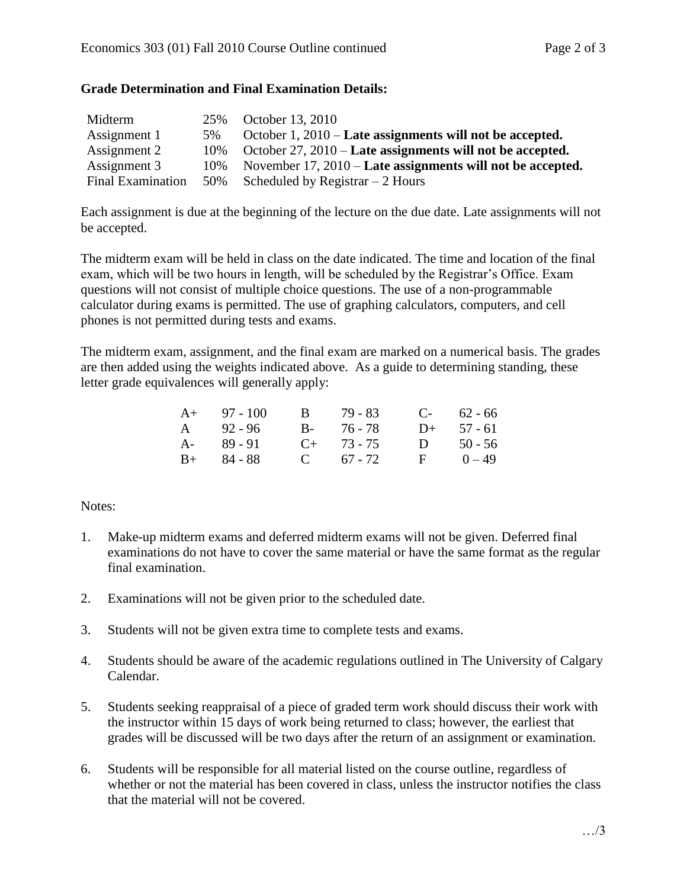## **Grade Determination and Final Examination Details:**

| Midterm                  | 25%    | October 13, 2010                                             |
|--------------------------|--------|--------------------------------------------------------------|
| Assignment 1             | 5%     | October $1, 2010$ – Late assignments will not be accepted.   |
| Assignment 2             | $10\%$ | October $27, 2010$ – Late assignments will not be accepted.  |
| Assignment 3             | 10%    | November $17, 2010$ – Late assignments will not be accepted. |
| <b>Final Examination</b> |        | 50% Scheduled by Registrar $-2$ Hours                        |

Each assignment is due at the beginning of the lecture on the due date. Late assignments will not be accepted.

The midterm exam will be held in class on the date indicated. The time and location of the final exam, which will be two hours in length, will be scheduled by the Registrar's Office. Exam questions will not consist of multiple choice questions. The use of a non-programmable calculator during exams is permitted. The use of graphing calculators, computers, and cell phones is not permitted during tests and exams.

The midterm exam, assignment, and the final exam are marked on a numerical basis. The grades are then added using the weights indicated above. As a guide to determining standing, these letter grade equivalences will generally apply:

| $A+ 97 - 100$ |  |                                                         | $C-$ 62 - 66 |
|---------------|--|---------------------------------------------------------|--------------|
| $A = 92 - 96$ |  |                                                         | $D+ 57 - 61$ |
| $A - 89 - 91$ |  | $\mathbf{D}$                                            | 50 - 56      |
| $B+ 84 - 88$  |  | $\mathbf{F}$                                            | $0 - 49$     |
|               |  | B 79 - 83<br>B- 76-78<br>$C_{+}$ 73 - 75<br>C $67 - 72$ |              |

# Notes:

- 1. Make-up midterm exams and deferred midterm exams will not be given. Deferred final examinations do not have to cover the same material or have the same format as the regular final examination.
- 2. Examinations will not be given prior to the scheduled date.
- 3. Students will not be given extra time to complete tests and exams.
- 4. Students should be aware of the academic regulations outlined in The University of Calgary Calendar.
- 5. Students seeking reappraisal of a piece of graded term work should discuss their work with the instructor within 15 days of work being returned to class; however, the earliest that grades will be discussed will be two days after the return of an assignment or examination.
- 6. Students will be responsible for all material listed on the course outline, regardless of whether or not the material has been covered in class, unless the instructor notifies the class that the material will not be covered.